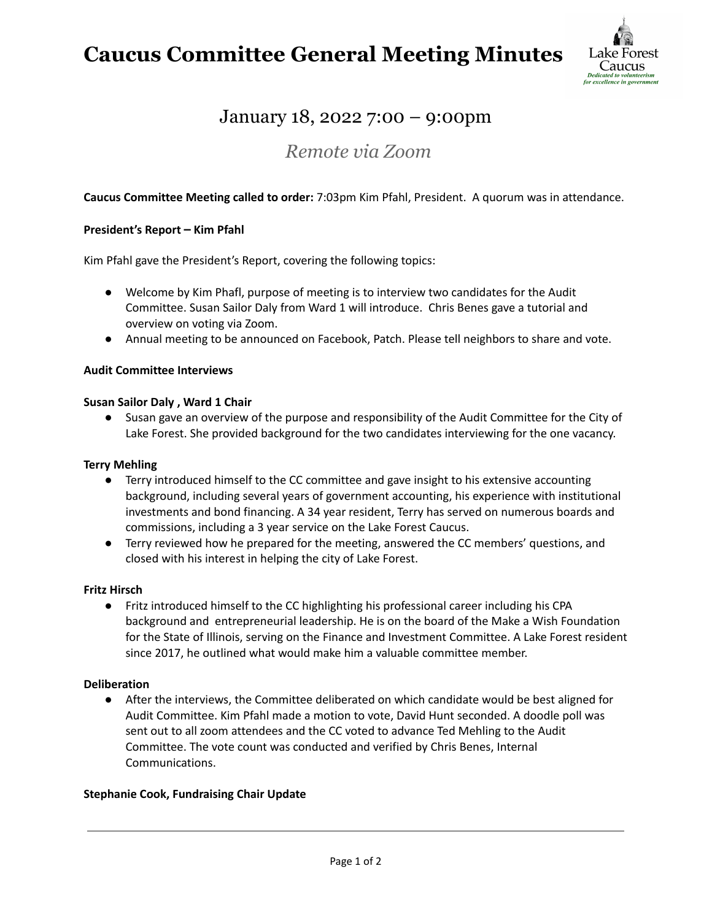## **Caucus Committee General Meeting Minutes**



### January 18, 2022 7:00 – 9:00pm

### *Remote via Zoom*

#### **Caucus Committee Meeting called to order:** 7:03pm Kim Pfahl, President. A quorum was in attendance.

#### **President's Report – Kim Pfahl**

Kim Pfahl gave the President's Report, covering the following topics:

- Welcome by Kim Phafl, purpose of meeting is to interview two candidates for the Audit Committee. Susan Sailor Daly from Ward 1 will introduce. Chris Benes gave a tutorial and overview on voting via Zoom.
- Annual meeting to be announced on Facebook, Patch. Please tell neighbors to share and vote.

#### **Audit Committee Interviews**

#### **Susan Sailor Daly , Ward 1 Chair**

● Susan gave an overview of the purpose and responsibility of the Audit Committee for the City of Lake Forest. She provided background for the two candidates interviewing for the one vacancy.

#### **Terry Mehling**

- Terry introduced himself to the CC committee and gave insight to his extensive accounting background, including several years of government accounting, his experience with institutional investments and bond financing. A 34 year resident, Terry has served on numerous boards and commissions, including a 3 year service on the Lake Forest Caucus.
- Terry reviewed how he prepared for the meeting, answered the CC members' questions, and closed with his interest in helping the city of Lake Forest.

#### **Fritz Hirsch**

● Fritz introduced himself to the CC highlighting his professional career including his CPA background and entrepreneurial leadership. He is on the board of the Make a Wish Foundation for the State of Illinois, serving on the Finance and Investment Committee. A Lake Forest resident since 2017, he outlined what would make him a valuable committee member.

#### **Deliberation**

● After the interviews, the Committee deliberated on which candidate would be best aligned for Audit Committee. Kim Pfahl made a motion to vote, David Hunt seconded. A doodle poll was sent out to all zoom attendees and the CC voted to advance Ted Mehling to the Audit Committee. The vote count was conducted and verified by Chris Benes, Internal Communications.

#### **Stephanie Cook, Fundraising Chair Update**